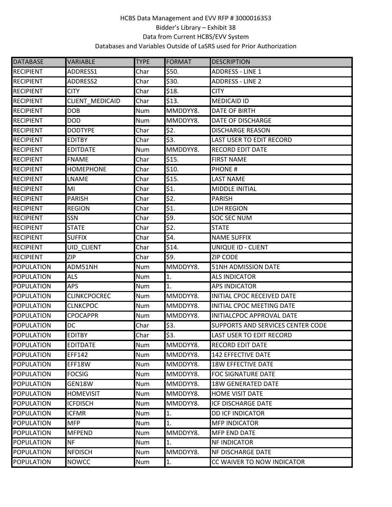| <b>DATABASE</b>   | <b>VARIABLE</b>     | <b>TYPE</b> | <b>FORMAT</b> | <b>DESCRIPTION</b>                |
|-------------------|---------------------|-------------|---------------|-----------------------------------|
| <b>RECIPIENT</b>  | ADDRESS1            | Char        | \$50.         | <b>ADDRESS - LINE 1</b>           |
| <b>RECIPIENT</b>  | ADDRESS2            | Char        | \$30.         | <b>ADDRESS - LINE 2</b>           |
| <b>RECIPIENT</b>  | <b>CITY</b>         | Char        | \$18.         | <b>CITY</b>                       |
| <b>RECIPIENT</b>  | CLIENT_MEDICAID     | Char        | \$13.         | <b>MEDICAID ID</b>                |
| <b>RECIPIENT</b>  | <b>DOB</b>          | <b>Num</b>  | MMDDYY8.      | <b>DATE OF BIRTH</b>              |
| <b>RECIPIENT</b>  | <b>DOD</b>          | Num         | MMDDYY8.      | <b>DATE OF DISCHARGE</b>          |
| <b>RECIPIENT</b>  | <b>DODTYPE</b>      | Char        | \$2.          | <b>DISCHARGE REASON</b>           |
| <b>RECIPIENT</b>  | <b>EDITBY</b>       | Char        | \$3.          | <b>LAST USER TO EDIT RECORD</b>   |
| <b>RECIPIENT</b>  | <b>EDITDATE</b>     | Num         | MMDDYY8.      | <b>RECORD EDIT DATE</b>           |
| <b>RECIPIENT</b>  | <b>FNAME</b>        | Char        | \$15.         | <b>FIRST NAME</b>                 |
| <b>RECIPIENT</b>  | <b>HOMEPHONE</b>    | Char        | \$10.         | <b>PHONE#</b>                     |
| <b>RECIPIENT</b>  | LNAME               | Char        | \$15.         | <b>LAST NAME</b>                  |
| <b>RECIPIENT</b>  | MI                  | Char        | \$1.          | <b>MIDDLE INITIAL</b>             |
| <b>RECIPIENT</b>  | <b>PARISH</b>       | Char        | \$2.          | <b>PARISH</b>                     |
| <b>RECIPIENT</b>  | <b>REGION</b>       | Char        | \$1.          | <b>LDH REGION</b>                 |
| <b>RECIPIENT</b>  | SSN                 | Char        | \$9.          | <b>SOC SEC NUM</b>                |
| <b>RECIPIENT</b>  | <b>STATE</b>        | Char        | \$2.          | <b>STATE</b>                      |
| <b>RECIPIENT</b>  | <b>SUFFIX</b>       | Char        | \$4.          | <b>NAME SUFFIX</b>                |
| <b>RECIPIENT</b>  | UID_CLIENT          | Char        | \$14.         | UNIQUE ID - CLIENT                |
| <b>RECIPIENT</b>  | <b>ZIP</b>          | Char        | \$9.          | <b>ZIP CODE</b>                   |
| <b>POPULATION</b> | ADM51NH             | Num         | MMDDYY8.      | <b>51NH ADMISSION DATE</b>        |
| <b>POPULATION</b> | <b>ALS</b>          | Num         | 1.            | <b>ALS INDICATOR</b>              |
| <b>POPULATION</b> | <b>APS</b>          | Num         | 1.            | <b>APS INDICATOR</b>              |
| <b>POPULATION</b> | <b>CLINKCPOCREC</b> | Num         | MMDDYY8.      | INITIAL CPOC RECEIVED DATE        |
| <b>POPULATION</b> | <b>CLNKCPOC</b>     | <b>Num</b>  | MMDDYY8.      | INITIAL CPOC MEETING DATE         |
| <b>POPULATION</b> | <b>CPOCAPPR</b>     | Num         | MMDDYY8.      | INITIALCPOC APPROVAL DATE         |
| <b>POPULATION</b> | <b>DC</b>           | Char        | \$3.          | SUPPORTS AND SERVICES CENTER CODE |
| POPULATION        | <b>EDITBY</b>       | Char        | \$3.          | <b>LAST USER TO EDIT RECORD</b>   |
| <b>POPULATION</b> | <b>EDITDATE</b>     | Num         | MMDDYY8.      | RECORD EDIT DATE                  |
| <b>POPULATION</b> | EFF142              | Num         | MMDDYY8.      | 142 EFFECTIVE DATE                |
| <b>POPULATION</b> | EFF18W              | <b>Num</b>  | MMDDYY8.      | <b>18W EFFECTIVE DATE</b>         |
| <b>POPULATION</b> | <b>FOCSIG</b>       | Num         | MMDDYY8.      | <b>FOC SIGNATURE DATE</b>         |
| <b>POPULATION</b> | GEN18W              | Num         | MMDDYY8.      | <b>18W GENERATED DATE</b>         |
| <b>POPULATION</b> | <b>HOMEVISIT</b>    | Num         | MMDDYY8.      | <b>HOME VISIT DATE</b>            |
| <b>POPULATION</b> | <b>ICFDISCH</b>     | <b>Num</b>  | MMDDYY8.      | <b>ICF DISCHARGE DATE</b>         |
| <b>POPULATION</b> | <b>ICFMR</b>        | Num         | 1.            | <b>DD ICF INDICATOR</b>           |
| <b>POPULATION</b> | <b>MFP</b>          | Num         | 1.            | <b>MFP INDICATOR</b>              |
| <b>POPULATION</b> | <b>MFPEND</b>       | <b>Num</b>  | MMDDYY8.      | <b>MFP END DATE</b>               |
| <b>POPULATION</b> |                     | Num         | 1.            | <b>NF INDICATOR</b>               |
|                   | NF.                 |             |               |                                   |
| <b>POPULATION</b> | <b>NFDISCH</b>      | Num         | MMDDYY8.      | <b>NF DISCHARGE DATE</b>          |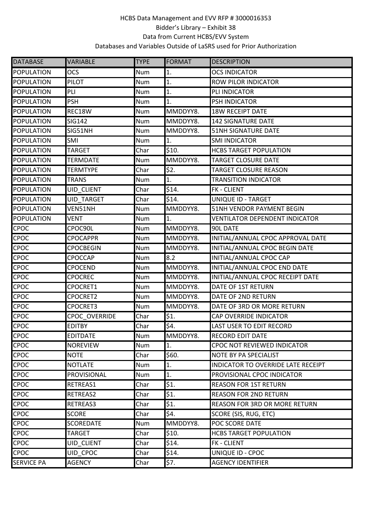| <b>DATABASE</b>   | VARIABLE          | <b>TYPE</b> | FORMAT   | <b>DESCRIPTION</b>                    |
|-------------------|-------------------|-------------|----------|---------------------------------------|
| <b>POPULATION</b> | <b>OCS</b>        | Num         | 1.       | <b>OCS INDICATOR</b>                  |
| POPULATION        | <b>PILOT</b>      | Num         | 1.       | <b>ROW PILOR INDICATOR</b>            |
| <b>POPULATION</b> | PLI               | Num         | 1.       | PLI INDICATOR                         |
| <b>POPULATION</b> | <b>PSH</b>        | <b>Num</b>  | 1.       | PSH INDICATOR                         |
| <b>POPULATION</b> | REC18W            | Num         | MMDDYY8. | <b>18W RECEIPT DATE</b>               |
| <b>POPULATION</b> | <b>SIG142</b>     | Num         | MMDDYY8. | <b>142 SIGNATURE DATE</b>             |
| <b>POPULATION</b> | SIG51NH           | Num         | MMDDYY8. | 51NH SIGNATURE DATE                   |
| <b>POPULATION</b> | SMI               | Num         | 1.       | <b>SMI INDICATOR</b>                  |
| <b>POPULATION</b> | <b>TARGET</b>     | Char        | \$10.    | <b>HCBS TARGET POPULATION</b>         |
| <b>POPULATION</b> | <b>TERMDATE</b>   | Num         | MMDDYY8. | <b>TARGET CLOSURE DATE</b>            |
| <b>POPULATION</b> | <b>TERMTYPE</b>   | Char        | \$2.     | TARGET CLOSURE REASON                 |
| <b>POPULATION</b> | <b>TRANS</b>      | Num         | 1.       | <b>TRANSITION INDICATOR</b>           |
| <b>POPULATION</b> | <b>UID CLIENT</b> | Char        | \$14.    | <b>FK - CLIENT</b>                    |
| <b>POPULATION</b> | <b>UID TARGET</b> | Char        | \$14.    | UNIQUE ID - TARGET                    |
| <b>POPULATION</b> | VEN51NH           | Num         | MMDDYY8. | 51NH VENDOR PAYMENT BEGIN             |
| <b>POPULATION</b> | <b>VENT</b>       | Num         | 1.       | <b>VENTILATOR DEPENDENT INDICATOR</b> |
| <b>CPOC</b>       | CPOC90L           | Num         | MMDDYY8. | 90L DATE                              |
| <b>CPOC</b>       | <b>CPOCAPPR</b>   | Num         | MMDDYY8. | INITIAL/ANNUAL CPOC APPROVAL DATE     |
| <b>CPOC</b>       | <b>CPOCBEGIN</b>  | Num         | MMDDYY8. | INITIAL/ANNUAL CPOC BEGIN DATE        |
| <b>CPOC</b>       | CPOCCAP           | Num         | 8.2      | INITIAL/ANNUAL CPOC CAP               |
| CPOC              | CPOCEND           | Num         | MMDDYY8. | INITIAL/ANNUAL CPOC END DATE          |
| <b>CPOC</b>       | <b>CPOCREC</b>    | Num         | MMDDYY8. | INITIAL/ANNUAL CPOC RECEIPT DATE      |
| <b>CPOC</b>       | CPOCRET1          | Num         | MMDDYY8. | DATE OF 1ST RETURN                    |
| <b>CPOC</b>       | CPOCRET2          | Num         | MMDDYY8. | DATE OF 2ND RETURN                    |
| <b>CPOC</b>       | CPOCRET3          | Num         | MMDDYY8. | DATE OF 3RD OR MORE RETURN            |
| <b>CPOC</b>       | CPOC OVERRIDE     | Char        | \$1.     | CAP OVERRIDE INDICATOR                |
| CPOC              | <b>EDITBY</b>     | Char        | \$4.     | <b>LAST USER TO EDIT RECORD</b>       |
| <b>CPOC</b>       | <b>EDITDATE</b>   | Num         | MMDDYY8. | <b>RECORD EDIT DATE</b>               |
| CPOC              | <b>NOREVIEW</b>   | Num         | 1.       | CPOC NOT REVIEWED INDICATOR           |
| CPOC              | <b>NOTE</b>       | Char        | \$60.    | NOTE BY PA SPECIALIST                 |
| <b>CPOC</b>       | <b>NOTLATE</b>    | Num         | 1.       | INDICATOR TO OVERRIDE LATE RECEIPT    |
| <b>CPOC</b>       | PROVISIONAL       | Num         | 1.       | PROVISIONAL CPOC INDICATOR            |
| <b>CPOC</b>       | RETREAS1          | Char        | \$1.     | <b>REASON FOR 1ST RETURN</b>          |
| <b>CPOC</b>       | RETREAS2          | Char        | \$1.     | <b>REASON FOR 2ND RETURN</b>          |
| <b>CPOC</b>       | RETREAS3          | Char        | \$1.     | REASON FOR 3RD OR MORE RETURN         |
| <b>CPOC</b>       | <b>SCORE</b>      | Char        | \$4.     | SCORE (SIS, RUG, ETC)                 |
| <b>CPOC</b>       | <b>SCOREDATE</b>  | Num         | MMDDYY8. | POC SCORE DATE                        |
| <b>CPOC</b>       | TARGET            | Char        | \$10.    | <b>HCBS TARGET POPULATION</b>         |
| <b>CPOC</b>       | UID_CLIENT        | Char        | \$14.    | <b>FK - CLIENT</b>                    |
| <b>CPOC</b>       | <b>UID CPOC</b>   | Char        | \$14.    | UNIQUE ID - CPOC                      |
| <b>SERVICE PA</b> | <b>AGENCY</b>     | Char        | \$7.     | <b>AGENCY IDENTIFIER</b>              |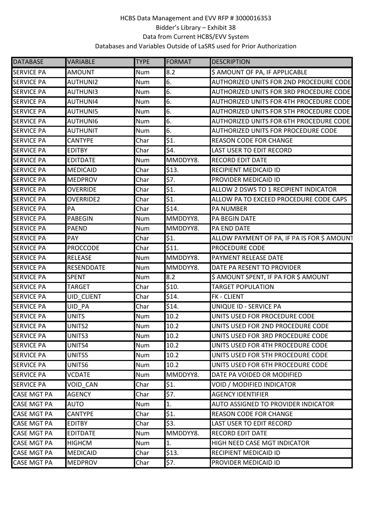| <b>DATABASE</b>    | <b>VARIABLE</b>   | <b>TYPE</b> | <b>FORMAT</b>     | <b>DESCRIPTION</b>                          |
|--------------------|-------------------|-------------|-------------------|---------------------------------------------|
| <b>SERVICE PA</b>  | <b>AMOUNT</b>     | Num         | 8.2               | \$ AMOUNT OF PA, IF APPLICABLE              |
| <b>SERVICE PA</b>  | <b>AUTHUNI2</b>   | <b>Num</b>  | 6.                | AUTHORIZED UNITS FOR 2ND PROCEDURE CODE     |
| <b>SERVICE PA</b>  | AUTHUNI3          | Num         | 6.                | AUTHORIZED UNITS FOR 3RD PROCEDURE CODE     |
| <b>SERVICE PA</b>  | <b>AUTHUNI4</b>   | <b>Num</b>  | 6.                | AUTHORIZED UNITS FOR 4TH PROCEDURE CODE     |
| <b>SERVICE PA</b>  | <b>AUTHUNI5</b>   | Num         | 6.                | AUTHORIZED UNITS FOR 5TH PROCEDURE CODE     |
| <b>SERVICE PA</b>  | <b>AUTHUNI6</b>   | <b>Num</b>  | 6.                | AUTHORIZED UNITS FOR 6TH PROCEDURE CODE     |
| <b>SERVICE PA</b>  | <b>AUTHUNIT</b>   | Num         | 6.                | AUTHORIZED UNITS FOR PROCEDURE CODE         |
| <b>SERVICE PA</b>  | CANTYPE           | Char        | \$1.              | <b>REASON CODE FOR CHANGE</b>               |
| <b>SERVICE PA</b>  | <b>EDITBY</b>     | Char        | \$4.              | <b>LAST USER TO EDIT RECORD</b>             |
| <b>SERVICE PA</b>  | <b>EDITDATE</b>   | <b>Num</b>  | MMDDYY8.          | <b>RECORD EDIT DATE</b>                     |
| <b>SERVICE PA</b>  | <b>MEDICAID</b>   | Char        | \$13.             | RECIPIENT MEDICAID ID                       |
| <b>SERVICE PA</b>  | <b>MEDPROV</b>    | Char        | \$7.              | PROVIDER MEDICAID ID                        |
| <b>SERVICE PA</b>  | <b>OVERRIDE</b>   | Char        | \$1.              | ALLOW 2 DSWS TO 1 RECIPIENT INDICATOR       |
| <b>SERVICE PA</b>  | <b>OVERRIDE2</b>  | Char        | $\overline{\$1.}$ | ALLOW PA TO EXCEED PROCEDURE CODE CAPS      |
| <b>SERVICE PA</b>  | PA                | Char        | \$14.             | PA NUMBER                                   |
| <b>SERVICE PA</b>  | <b>PABEGIN</b>    | Num         | MMDDYY8.          | PA BEGIN DATE                               |
| <b>SERVICE PA</b>  | <b>PAEND</b>      | <b>Num</b>  | MMDDYY8.          | PA END DATE                                 |
| <b>SERVICE PA</b>  | PAY               | Char        | \$1.              | ALLOW PAYMENT OF PA, IF PA IS FOR \$ AMOUNT |
| <b>SERVICE PA</b>  | <b>PROCCODE</b>   | Char        | \$11.             | PROCEDURE CODE                              |
| <b>SERVICE PA</b>  | <b>RELEASE</b>    | Num         | MMDDYY8.          | PAYMENT RELEASE DATE                        |
| <b>SERVICE PA</b>  | <b>RESENDDATE</b> | <b>Num</b>  | MMDDYY8.          | DATE PA RESENT TO PROVIDER                  |
| <b>SERVICE PA</b>  | <b>SPENT</b>      | Num         | 8.2               | \$ AMOUNT SPENT, IF PA FOR \$ AMOUNT        |
| <b>SERVICE PA</b>  | <b>TARGET</b>     | Char        | \$10.             | <b>TARGET POPULATION</b>                    |
| <b>SERVICE PA</b>  | <b>UID CLIENT</b> | Char        | \$14.             | <b>FK - CLIENT</b>                          |
| <b>SERVICE PA</b>  | <b>UID PA</b>     | Char        | \$14.             | UNIQUE ID - SERVICE PA                      |
| <b>SERVICE PA</b>  | <b>UNITS</b>      | Num         | 10.2              | UNITS USED FOR PROCEDURE CODE               |
| <b>SERVICE PA</b>  | UNITS2            | Num         | 10.2              | UNITS USED FOR 2ND PROCEDURE CODE           |
| <b>SERVICE PA</b>  | UNITS3            | Num         | 10.2              | UNITS USED FOR 3RD PROCEDURE CODE           |
| <b>SERVICE PA</b>  | UNITS4            | Num         | 10.2              | UNITS USED FOR 4TH PROCEDURE CODE           |
| <b>SERVICE PA</b>  | UNITS5            | <b>Num</b>  | 10.2              | UNITS USED FOR 5TH PROCEDURE CODE           |
| <b>SERVICE PA</b>  | UNITS6            | Num         | 10.2              | UNITS USED FOR 6TH PROCEDURE CODE           |
| <b>SERVICE PA</b>  | <b>VCDATE</b>     | Num         | MMDDYY8.          | DATE PA VOIDED OR MODIFIED                  |
| <b>SERVICE PA</b>  | VOID CAN          | Char        | \$1.              | VOID / MODIFIED INDICATOR                   |
| <b>CASE MGT PA</b> | <b>AGENCY</b>     | Char        | 57.               | <b>AGENCY IDENTIFIER</b>                    |
| <b>CASE MGT PA</b> | <b>AUTO</b>       | Num         | 1.                | AUTO ASSIGNED TO PROVIDER INDICATOR         |
| <b>CASE MGT PA</b> | <b>CANTYPE</b>    | Char        | \$1.              | <b>REASON CODE FOR CHANGE</b>               |
| <b>CASE MGT PA</b> | <b>EDITBY</b>     | Char        | \$3.              | LAST USER TO EDIT RECORD                    |
| <b>CASE MGT PA</b> | <b>EDITDATE</b>   | Num         | MMDDYY8.          | <b>RECORD EDIT DATE</b>                     |
| <b>CASE MGT PA</b> | <b>HIGHCM</b>     | Num         | 1.                | HIGH NEED CASE MGT INDICATOR                |
| <b>CASE MGT PA</b> | <b>MEDICAID</b>   | Char        | \$13.             | RECIPIENT MEDICAID ID                       |
| <b>CASE MGT PA</b> | <b>MEDPROV</b>    | Char        | \$7.              | PROVIDER MEDICAID ID                        |